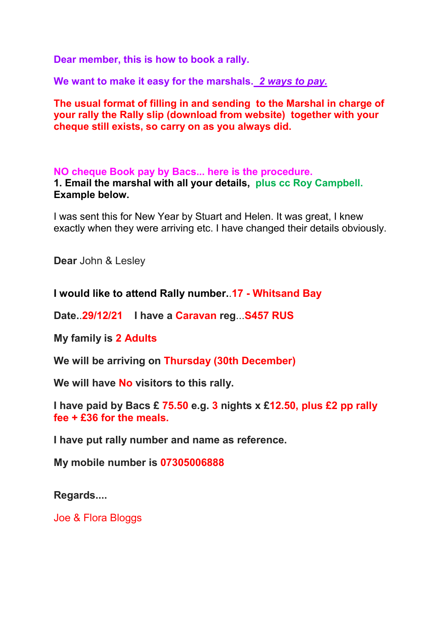**Dear member, this is how to book a rally.**

**We want to make it easy for the marshals.** *2 ways to pay.*

**The usual format of filling in and sending to the Marshal in charge of your rally the Rally slip (download from website) together with your cheque still exists, so carry on as you always did.** 

**NO cheque Book pay by Bacs... here is the procedure. 1. Email the marshal with all your details, plus cc Roy Campbell. Example below.** 

I was sent this for New Year by Stuart and Helen. It was great, I knew exactly when they were arriving etc. I have changed their details obviously.

**Dear** John & Lesley

**I would like to attend Rally number.**.**17 - Whitsand Bay**

**Date.**.**29/12/21 I have a Caravan reg**...**S457 RUS**

**My family is 2 Adults**

**We will be arriving on Thursday (30th December)**

**We will have No visitors to this rally.**

**I have paid by Bacs £ 75.50 e.g. 3 nights x £12.50, plus £2 pp rally fee + £36 for the meals.**

**I have put rally number and name as reference.**

**My mobile number is 07305006888**

**Regards....**

Joe & Flora Bloggs